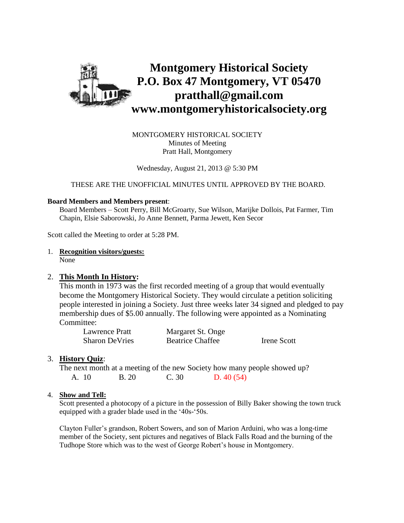

MONTGOMERY HISTORICAL SOCIETY Minutes of Meeting Pratt Hall, Montgomery

Wednesday, August 21, 2013 @ 5:30 PM

THESE ARE THE UNOFFICIAL MINUTES UNTIL APPROVED BY THE BOARD.

#### **Board Members and Members present**:

Board Members – Scott Perry, Bill McGroarty, Sue Wilson, Marijke Dollois, Pat Farmer, Tim Chapin, Elsie Saborowski, Jo Anne Bennett, Parma Jewett, Ken Secor

Scott called the Meeting to order at 5:28 PM.

## 1. **Recognition visitors/guests:**

None

#### 2. **This Month In History:**

This month in 1973 was the first recorded meeting of a group that would eventually become the Montgomery Historical Society. They would circulate a petition soliciting people interested in joining a Society. Just three weeks later 34 signed and pledged to pay membership dues of \$5.00 annually. The following were appointed as a Nominating Committee:

| Lawrence Pratt        | Margaret St. Onge       |             |
|-----------------------|-------------------------|-------------|
| <b>Sharon DeVries</b> | <b>Beatrice Chaffee</b> | Irene Scott |

#### 3. **History Quiz**:

The next month at a meeting of the new Society how many people showed up? A. 10 B. 20 C. 30 D. 40 (54)

#### 4. **Show and Tell:**

Scott presented a photocopy of a picture in the possession of Billy Baker showing the town truck equipped with a grader blade used in the '40s-'50s.

Clayton Fuller's grandson, Robert Sowers, and son of Marion Arduini, who was a long-time member of the Society, sent pictures and negatives of Black Falls Road and the burning of the Tudhope Store which was to the west of George Robert's house in Montgomery.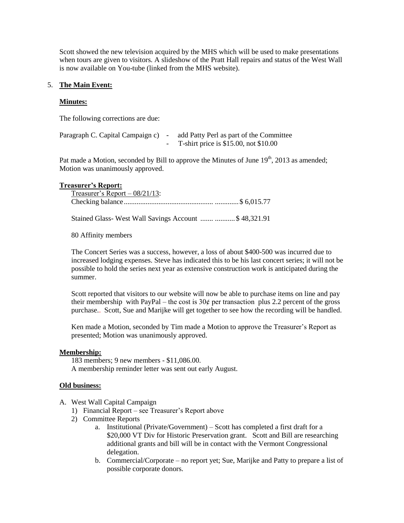Scott showed the new television acquired by the MHS which will be used to make presentations when tours are given to visitors. A slideshow of the Pratt Hall repairs and status of the West Wall is now available on You-tube (linked from the MHS website).

## 5. **The Main Event:**

#### **Minutes:**

The following corrections are due:

| Paragraph C. Capital Campaign c) - | add Patty Perl as part of the Committee  |
|------------------------------------|------------------------------------------|
|                                    | T-shirt price is $$15.00$ , not $$10.00$ |

Pat made a Motion, seconded by Bill to approve the Minutes of June  $19<sup>th</sup>$ , 2013 as amended; Motion was unanimously approved.

#### **Treasurer's Report:**

| Treasurer's Report $-08/21/13$ : |  |
|----------------------------------|--|
|                                  |  |

Stained Glass- West Wall Savings Account ....... ...........\$ 48,321.91

80 Affinity members

The Concert Series was a success, however, a loss of about \$400-500 was incurred due to increased lodging expenses. Steve has indicated this to be his last concert series; it will not be possible to hold the series next year as extensive construction work is anticipated during the summer.

Scott reported that visitors to our website will now be able to purchase items on line and pay their membership with PayPal – the cost is  $30¢$  per transaction plus 2.2 percent of the gross purchase.. Scott, Sue and Marijke will get together to see how the recording will be handled.

Ken made a Motion, seconded by Tim made a Motion to approve the Treasurer's Report as presented; Motion was unanimously approved.

## **Membership:**

183 members; 9 new members - \$11,086.00. A membership reminder letter was sent out early August.

## **Old business:**

- A. West Wall Capital Campaign
	- 1) Financial Report see Treasurer's Report above
	- 2) Committee Reports
		- a. Institutional (Private/Government) Scott has completed a first draft for a \$20,000 VT Div for Historic Preservation grant. Scott and Bill are researching additional grants and bill will be in contact with the Vermont Congressional delegation.
		- b. Commercial/Corporate no report yet; Sue, Marijke and Patty to prepare a list of possible corporate donors.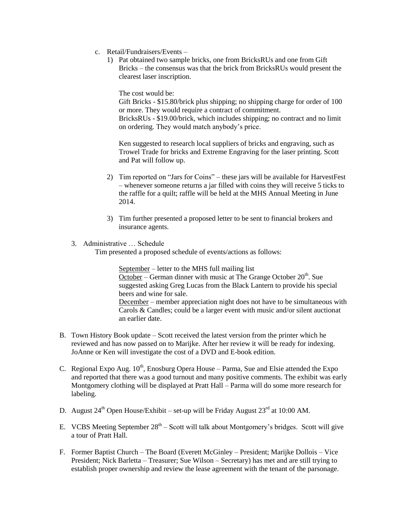- c. Retail/Fundraisers/Events
	- 1) Pat obtained two sample bricks, one from BricksRUs and one from Gift Bricks – the consensus was that the brick from BricksRUs would present the clearest laser inscription.

The cost would be:

Gift Bricks - \$15.80/brick plus shipping; no shipping charge for order of 100 or more. They would require a contract of commitment.

BricksRUs - \$19.00/brick, which includes shipping; no contract and no limit on ordering. They would match anybody's price.

Ken suggested to research local suppliers of bricks and engraving, such as Trowel Trade for bricks and Extreme Engraving for the laser printing. Scott and Pat will follow up.

- 2) Tim reported on "Jars for Coins" these jars will be available for HarvestFest – whenever someone returns a jar filled with coins they will receive 5 ticks to the raffle for a quilt; raffle will be held at the MHS Annual Meeting in June 2014.
- 3) Tim further presented a proposed letter to be sent to financial brokers and insurance agents.
- 3. Administrative … Schedule

Tim presented a proposed schedule of events/actions as follows:

September – letter to the MHS full mailing list October – German dinner with music at The Grange October  $20<sup>th</sup>$ . Sue suggested asking Greg Lucas from the Black Lantern to provide his special beers and wine for sale. December – member appreciation night does not have to be simultaneous with

Carols & Candles; could be a larger event with music and/or silent auctionat an earlier date.

- B. Town History Book update Scott received the latest version from the printer which he reviewed and has now passed on to Marijke. After her review it will be ready for indexing. JoAnne or Ken will investigate the cost of a DVD and E-book edition.
- C. Regional Expo Aug.  $10^{th}$ , Enosburg Opera House Parma, Sue and Elsie attended the Expo and reported that there was a good turnout and many positive comments. The exhibit was early Montgomery clothing will be displayed at Pratt Hall – Parma will do some more research for labeling.
- D. August  $24^{th}$  Open House/Exhibit set-up will be Friday August  $23^{rd}$  at 10:00 AM.
- E. VCBS Meeting September  $28<sup>th</sup> -$  Scott will talk about Montgomery's bridges. Scott will give a tour of Pratt Hall.
- F. Former Baptist Church The Board (Everett McGinley President; Marijke Dollois Vice President; Nick Barletta – Treasurer; Sue Wilson – Secretary) has met and are still trying to establish proper ownership and review the lease agreement with the tenant of the parsonage.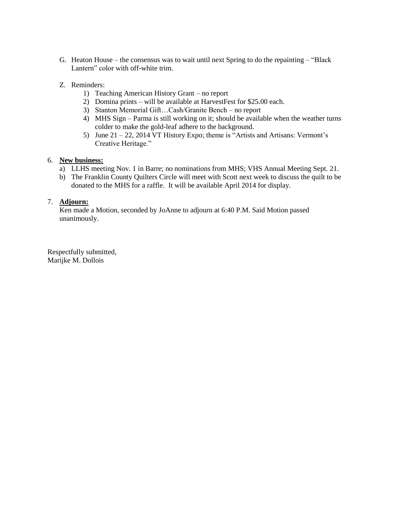- G. Heaton House the consensus was to wait until next Spring to do the repainting "Black Lantern" color with off-white trim.
- Z. Reminders:
	- 1) Teaching American History Grant no report
	- 2) Domina prints will be available at HarvestFest for \$25.00 each.
	- 3) Stanton Memorial Gift…Cash/Granite Bench no report
	- 4) MHS Sign Parma is still working on it; should be available when the weather turns colder to make the gold-leaf adhere to the background.
	- 5) June 21 22, 2014 VT History Expo; theme is "Artists and Artisans: Vermont's Creative Heritage."

## 6. **New business:**

- a) LLHS meeting Nov. 1 in Barre; no nominations from MHS; VHS Annual Meeting Sept. 21.
- b) The Franklin County Quilters Circle will meet with Scott next week to discuss the quilt to be donated to the MHS for a raffle. It will be available April 2014 for display.

## 7. **Adjourn:**

Ken made a Motion, seconded by JoAnne to adjourn at 6:40 P.M. Said Motion passed unanimously.

Respectfully submitted, Marijke M. Dollois